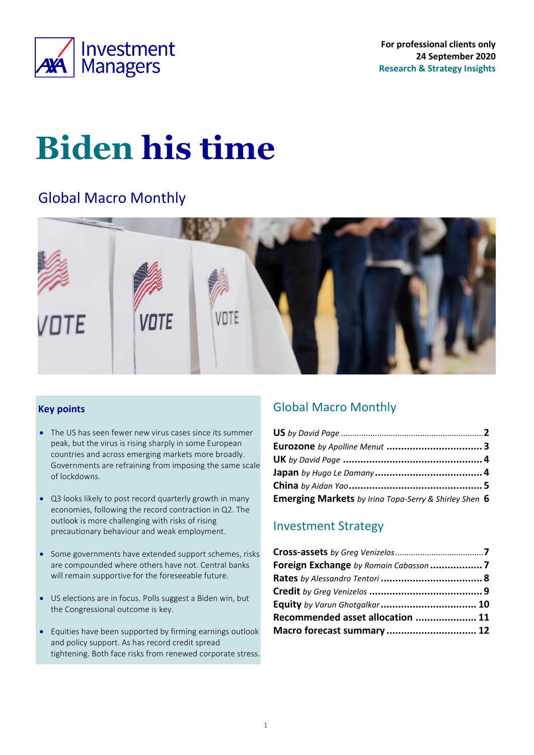<span id="page-0-0"></span>

**For professional clients only 24 September 2020 Research & Strategy Insights**

# **Biden his time**

### Global Macro Monthly



#### **Key points**

- The US has seen fewer new virus cases since its summer peak, but the virus is rising sharply in some European countries and across emerging markets more broadly. Governments are refraining from imposing the same scale of lockdowns.
- Q3 looks likely to post record quarterly growth in many economies, following the record contraction in Q2. The outlook is more challenging with risks of rising precautionary behaviour and weak employment.
- Some governments have extended support schemes, risks are compounded where others have not. Central banks will remain supportive for the foreseeable future.
- US elections are in focus. Polls suggest a Biden win, but the Congressional outcome is key.
- Equities have been supported by firming earnings outlook and policy support. As has record credit spread tightening. Both face risks from renewed corporate stress.

### Global Macro Monthly

| Emerging Markets by Irina Topa-Serry & Shirley Shen 6 |  |
|-------------------------------------------------------|--|

### Investment Strategy

| Recommended asset allocation  11 |
|----------------------------------|
| Macro forecast summary  12       |
|                                  |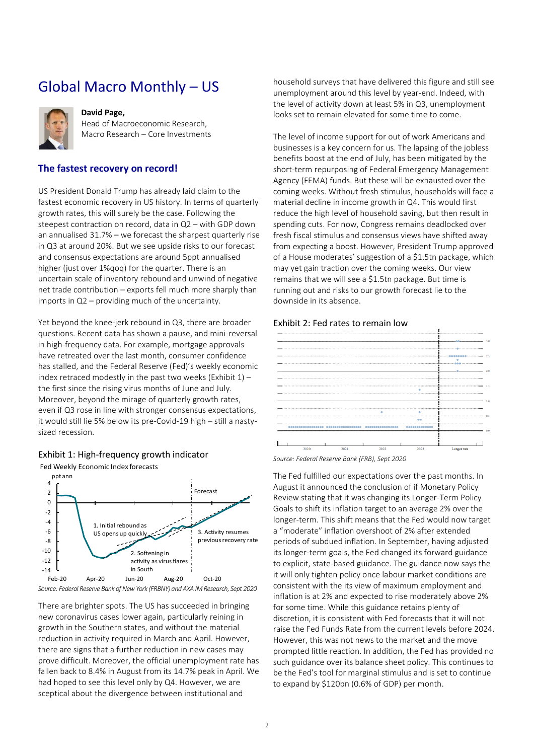### Global Macro Monthly – US

<span id="page-1-0"></span>

#### **David Page,**

Head of Macroeconomic Research, Macro Research – Core Investments

#### **The fastest recovery on record!**

US President Donald Trump has already laid claim to the fastest economic recovery in US history. In terms of quarterly growth rates, this will surely be the case. Following the steepest contraction on record, data in Q2 – with GDP down an annualised 31.7% – we forecast the sharpest quarterly rise in Q3 at around 20%. But we see upside risks to our forecast and consensus expectations are around 5ppt annualised higher (just over 1%qoq) for the quarter. There is an uncertain scale of inventory rebound and unwind of negative net trade contribution – exports fell much more sharply than imports in Q2 – providing much of the uncertainty.

Yet beyond the knee-jerk rebound in Q3, there are broader questions. Recent data has shown a pause, and mini-reversal in high-frequency data. For example, mortgage approvals have retreated over the last month, consumer confidence has stalled, and the Federal Reserve (Fed)'s weekly economic index retraced modestly in the past two weeks (Exhibit  $1$ ) – the first since the rising virus months of June and July. Moreover, beyond the mirage of quarterly growth rates, even if Q3 rose in line with stronger consensus expectations, it would still lie 5% below its pre-Covid-19 high – still a nastysized recession.

<span id="page-1-1"></span>

Fed Weekly Economic Index forecasts



There are brighter spots. The US has succeeded in bringing new coronavirus cases lower again, particularly reining in growth in the Southern states, and without the material reduction in activity required in March and April. However, there are signs that a further reduction in new cases may prove difficult. Moreover, the official unemployment rate has fallen back to 8.4% in August from its 14.7% peak in April. We had hoped to see this level only by Q4. However, we are sceptical about the divergence between institutional and

household surveys that have delivered this figure and still see unemployment around this level by year-end. Indeed, with the level of activity down at least 5% in Q3, unemployment looks set to remain elevated for some time to come.

The level of income support for out of work Americans and businesses is a key concern for us. The lapsing of the jobless benefits boost at the end of July, has been mitigated by the short-term repurposing of Federal Emergency Management Agency (FEMA) funds. But these will be exhausted over the coming weeks. Without fresh stimulus, households will face a material decline in income growth in Q4. This would first reduce the high level of household saving, but then result in spending cuts. For now, Congress remains deadlocked over fresh fiscal stimulus and consensus views have shifted away from expecting a boost. However, President Trump approved of a House moderates' suggestion of a \$1.5tn package, which may yet gain traction over the coming weeks. Our view remains that we will see a \$1.5tn package. But time is running out and risks to our growth forecast lie to the downside in its absence.

#### Exhibit 2: Fed rates to remain low



*Source: Federal Reserve Bank (FRB), Sept 2020*

The Fed fulfilled our expectations over the past months. In August it announced the conclusion of if Monetary Policy Review stating that it was changing its Longer-Term Policy Goals to shift its inflation target to an average 2% over the longer-term. This shift means that the Fed would now target a "moderate" inflation overshoot of 2% after extended periods of subdued inflation. In September, having adjusted its longer-term goals, the Fed changed its forward guidance to explicit, state-based guidance. The guidance now says the it will only tighten policy once labour market conditions are consistent with the its view of maximum employment and inflation is at 2% and expected to rise moderately above 2% for some time. While this guidance retains plenty of discretion, it is consistent with Fed forecasts that it will not raise the Fed Funds Rate from the current levels before 2024. However, this was not news to the market and the move prompted little reaction. In addition, the Fed has provided no such guidance over its balance sheet policy. This continues to be the Fed's tool for marginal stimulus and is set to continue to expand by \$120bn (0.6% of GDP) per month.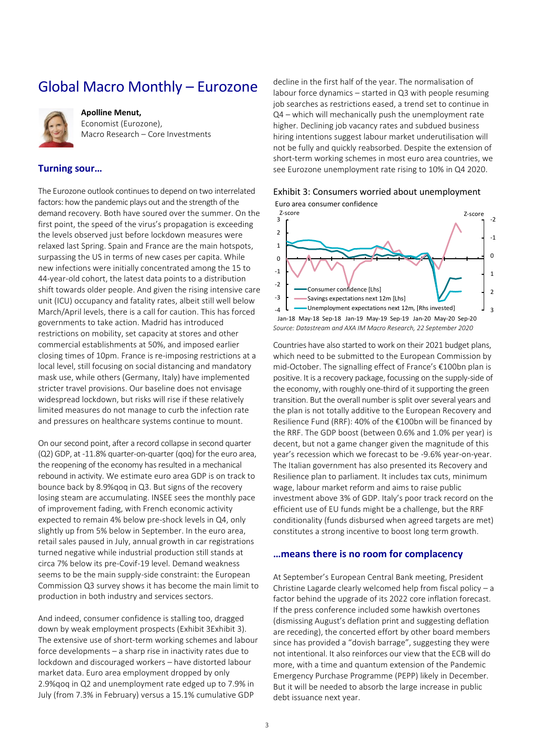### <span id="page-2-0"></span>Global Macro Monthly – Eurozone



**Apolline Menut,**  Economist (Eurozone), Macro Research – Core Investments

#### **Turning sour…**

The Eurozone outlook continues to depend on two interrelated factors: how the pandemic plays out and the strength of the demand recovery. Both have soured over the summer. On the first point, the speed of the virus's propagation is exceeding the levels observed just before lockdown measures were relaxed last Spring. Spain and France are the main hotspots, surpassing the US in terms of new cases per capita. While new infections were initially concentrated among the 15 to 44-year-old cohort, the latest data points to a distribution shift towards older people. And given the rising intensive care unit (ICU) occupancy and fatality rates, albeit still well below March/April levels, there is a call for caution. This has forced governments to take action. Madrid has introduced restrictions on mobility, set capacity at stores and other commercial establishments at 50%, and imposed earlier closing times of 10pm. France is re-imposing restrictions at a local level, still focusing on social distancing and mandatory mask use, while others (Germany, Italy) have implemented stricter travel provisions. Our baseline does not envisage widespread lockdown, but risks will rise if these relatively limited measures do not manage to curb the infection rate and pressures on healthcare systems continue to mount.

On our second point, after a record collapse in second quarter (Q2) GDP, at -11.8% quarter-on-quarter (qoq) for the euro area, the reopening of the economy has resulted in a mechanical rebound in activity. We estimate euro area GDP is on track to bounce back by 8.9%qoq in Q3. But signs of the recovery losing steam are accumulating. INSEE sees the monthly pace of improvement fading, with French economic activity expected to remain 4% below pre-shock levels in Q4, only slightly up from 5% below in September. In the euro area, retail sales paused in July, annual growth in car registrations turned negative while industrial production still stands at circa 7% below its pre-Covif-19 level. Demand weakness seems to be the main supply-side constraint: the European Commission Q3 survey shows it has become the main limit to production in both industry and services sectors.

And indeed, consumer confidence is stalling too, dragged down by weak employment prospects [\(Exhibit 3Exhibit 3\)](#page-2-1). The extensive use of short-term working schemes and labour force developments – a sharp rise in inactivity rates due to lockdown and discouraged workers – have distorted labour market data. Euro area employment dropped by only 2.9%qoq in Q2 and unemployment rate edged up to 7.9% in July (from 7.3% in February) versus a 15.1% cumulative GDP

decline in the first half of the year. The normalisation of labour force dynamics – started in Q3 with people resuming job searches as restrictions eased, a trend set to continue in Q4 – which will mechanically push the unemployment rate higher. Declining job vacancy rates and subdued business hiring intentions suggest labour market underutilisation will not be fully and quickly reabsorbed. Despite the extension of short-term working schemes in most euro area countries, we see Eurozone unemployment rate rising to 10% in Q4 2020.

<span id="page-2-1"></span>Exhibit 3: Consumers worried about unemployment Euro area consumer confidence



*Source: Datastream and AXA IM Macro Research, 22 September 2020*

Countries have also started to work on their 2021 budget plans, which need to be submitted to the European Commission by mid-October. The signalling effect of France's €100bn plan is positive. It is a recovery package, focussing on the supply-side of the economy, with roughly one-third of it supporting the green transition. But the overall number is split over several years and the plan is not totally additive to the European Recovery and Resilience Fund (RRF): 40% of the €100bn will be financed by the RRF. The GDP boost (between 0.6% and 1.0% per year) is decent, but not a game changer given the magnitude of this year's recession which we forecast to be -9.6% year-on-year. The Italian government has also presented its Recovery and Resilience plan to parliament. It includes tax cuts, minimum wage, labour market reform and aims to raise public investment above 3% of GDP. Italy's poor track record on the efficient use of EU funds might be a challenge, but the RRF conditionality (funds disbursed when agreed targets are met) constitutes a strong incentive to boost long term growth.

#### **…means there is no room for complacency**

At September's European Central Bank meeting, President Christine Lagarde clearly welcomed help from fiscal policy – a factor behind the upgrade of its 2022 core inflation forecast. If the press conference included some hawkish overtones (dismissing August's deflation print and suggesting deflation are receding), the concerted effort by other board members since has provided a "dovish barrage", suggesting they were not intentional. It also reinforces our view that the ECB will do more, with a time and quantum extension of the Pandemic Emergency Purchase Programme (PEPP) likely in December. But it will be needed to absorb the large increase in public debt issuance next year.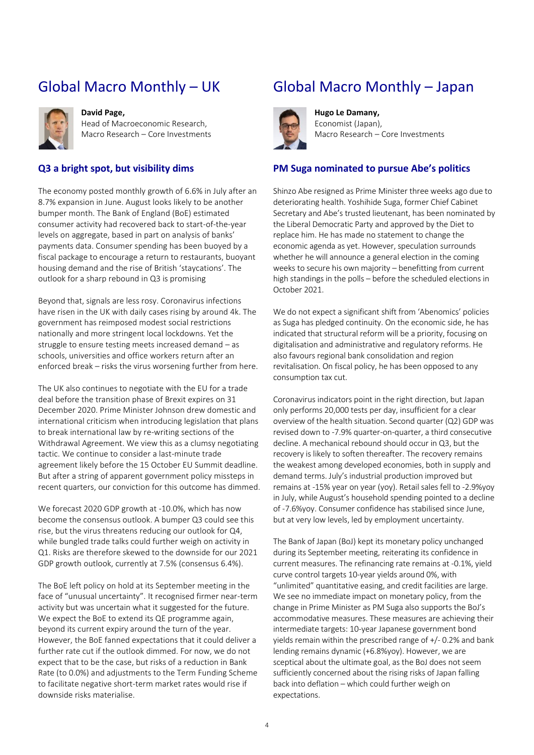### <span id="page-3-0"></span>Global Macro Monthly – UK



#### **David Page,**

Head of Macroeconomic Research, Macro Research – Core Investments

#### **Q3 a bright spot, but visibility dims**

The economy posted monthly growth of 6.6% in July after an 8.7% expansion in June. August looks likely to be another bumper month. The Bank of England (BoE) estimated consumer activity had recovered back to start-of-the-year levels on aggregate, based in part on analysis of banks' payments data. Consumer spending has been buoyed by a fiscal package to encourage a return to restaurants, buoyant housing demand and the rise of British 'staycations'. The outlook for a sharp rebound in Q3 is promising

Beyond that, signals are less rosy. Coronavirus infections have risen in the UK with daily cases rising by around 4k. The government has reimposed modest social restrictions nationally and more stringent local lockdowns. Yet the struggle to ensure testing meets increased demand – as schools, universities and office workers return after an enforced break – risks the virus worsening further from here.

The UK also continues to negotiate with the EU for a trade deal before the transition phase of Brexit expires on 31 December 2020. Prime Minister Johnson drew domestic and international criticism when introducing legislation that plans to break international law by re-writing sections of the Withdrawal Agreement. We view this as a clumsy negotiating tactic. We continue to consider a last-minute trade agreement likely before the 15 October EU Summit deadline. But after a string of apparent government policy missteps in recent quarters, our conviction for this outcome has dimmed.

We forecast 2020 GDP growth at -10.0%, which has now become the consensus outlook. A bumper Q3 could see this rise, but the virus threatens reducing our outlook for Q4, while bungled trade talks could further weigh on activity in Q1. Risks are therefore skewed to the downside for our 2021 GDP growth outlook, currently at 7.5% (consensus 6.4%).

The BoE left policy on hold at its September meeting in the face of "unusual uncertainty". It recognised firmer near-term activity but was uncertain what it suggested for the future. We expect the BoE to extend its QE programme again, beyond its current expiry around the turn of the year. However, the BoE fanned expectations that it could deliver a further rate cut if the outlook dimmed. For now, we do not expect that to be the case, but risks of a reduction in Bank Rate (to 0.0%) and adjustments to the Term Funding Scheme to facilitate negative short-term market rates would rise if downside risks materialise.

### Global Macro Monthly – Japan



**Hugo Le Damany,**  Economist (Japan), Macro Research – Core Investments

#### **PM Suga nominated to pursue Abe's politics**

Shinzo Abe resigned as Prime Minister three weeks ago due to deteriorating health. Yoshihide Suga, former Chief Cabinet Secretary and Abe's trusted lieutenant, has been nominated by the Liberal Democratic Party and approved by the Diet to replace him. He has made no statement to change the economic agenda as yet. However, speculation surrounds whether he will announce a general election in the coming weeks to secure his own majority – benefitting from current high standings in the polls – before the scheduled elections in October 2021.

We do not expect a significant shift from 'Abenomics' policies as Suga has pledged continuity. On the economic side, he has indicated that structural reform will be a priority, focusing on digitalisation and administrative and regulatory reforms. He also favours regional bank consolidation and region revitalisation. On fiscal policy, he has been opposed to any consumption tax cut.

Coronavirus indicators point in the right direction, but Japan only performs 20,000 tests per day, insufficient for a clear overview of the health situation. Second quarter (Q2) GDP was revised down to -7.9% quarter-on-quarter, a third consecutive decline. A mechanical rebound should occur in Q3, but the recovery is likely to soften thereafter. The recovery remains the weakest among developed economies, both in supply and demand terms. July's industrial production improved but remains at -15% year on year (yoy). Retail sales fell to -2.9%yoy in July, while August's household spending pointed to a decline of -7.6%yoy. Consumer confidence has stabilised since June, but at very low levels, led by employment uncertainty.

The Bank of Japan (BoJ) kept its monetary policy unchanged during its September meeting, reiterating its confidence in current measures. The refinancing rate remains at -0.1%, yield curve control targets 10-year yields around 0%, with "unlimited" quantitative easing, and credit facilities are large. We see no immediate impact on monetary policy, from the change in Prime Minister as PM Suga also supports the BoJ's accommodative measures. These measures are achieving their intermediate targets: 10-year Japanese government bond yields remain within the prescribed range of +/- 0.2% and bank lending remains dynamic (+6.8%yoy). However, we are sceptical about the ultimate goal, as the BoJ does not seem sufficiently concerned about the rising risks of Japan falling back into deflation – which could further weigh on expectations.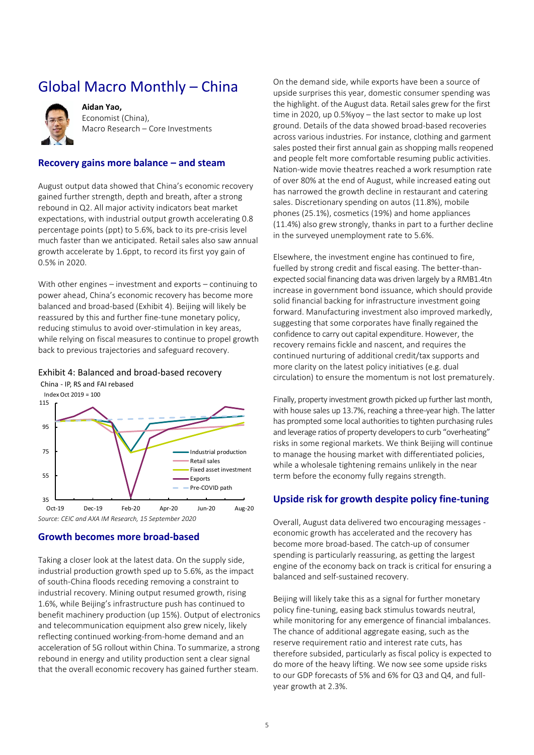### <span id="page-4-0"></span>Global Macro Monthly – China



**Aidan Yao,**  Economist (China), Macro Research – Core Investments

#### **Recovery gains more balance – and steam**

August output data showed that China's economic recovery gained further strength, depth and breath, after a strong rebound in Q2. All major activity indicators beat market expectations, with industrial output growth accelerating 0.8 percentage points (ppt) to 5.6%, back to its pre-crisis level much faster than we anticipated. Retail sales also saw annual growth accelerate by 1.6ppt, to record its first yoy gain of 0.5% in 2020.

With other engines – investment and exports – continuing to power ahead, China's economic recovery has become more balanced and broad-based [\(Exhibit 4\)](#page-4-1). Beijing will likely be reassured by this and further fine-tune monetary policy, reducing stimulus to avoid over-stimulation in key areas, while relying on fiscal measures to continue to propel growth back to previous trajectories and safeguard recovery.

### <span id="page-4-1"></span>Exhibit 4: Balanced and broad-based recovery

China - IP, RS and FAI rebased



#### **Growth becomes more broad-based**

Taking a closer look at the latest data. On the supply side, industrial production growth sped up to 5.6%, as the impact of south-China floods receding removing a constraint to industrial recovery. Mining output resumed growth, rising 1.6%, while Beijing's infrastructure push has continued to benefit machinery production (up 15%). Output of electronics and telecommunication equipment also grew nicely, likely reflecting continued working-from-home demand and an acceleration of 5G rollout within China. To summarize, a strong rebound in energy and utility production sent a clear signal that the overall economic recovery has gained further steam.

On the demand side, while exports have been a source of upside surprises this year, domestic consumer spending was the highlight. of the August data. Retail sales grew for the first time in 2020, up 0.5%yoy – the last sector to make up lost ground. Details of the data showed broad-based recoveries across various industries. For instance, clothing and garment sales posted their first annual gain as shopping malls reopened and people felt more comfortable resuming public activities. Nation-wide movie theatres reached a work resumption rate of over 80% at the end of August, while increased eating out has narrowed the growth decline in restaurant and catering sales. Discretionary spending on autos (11.8%), mobile phones (25.1%), cosmetics (19%) and home appliances (11.4%) also grew strongly, thanks in part to a further decline in the surveyed unemployment rate to 5.6%.

Elsewhere, the investment engine has continued to fire, fuelled by strong credit and fiscal easing. The better-thanexpected social financing data was driven largely by a RMB1.4tn increase in government bond issuance, which should provide solid financial backing for infrastructure investment going forward. Manufacturing investment also improved markedly, suggesting that some corporates have finally regained the confidence to carry out capital expenditure. However, the recovery remains fickle and nascent, and requires the continued nurturing of additional credit/tax supports and more clarity on the latest policy initiatives (e.g. dual circulation) to ensure the momentum is not lost prematurely.

Finally, property investment growth picked up further last month, with house sales up 13.7%, reaching a three-year high. The latter has prompted some local authorities to tighten purchasing rules and leverage ratios of property developers to curb "overheating" risks in some regional markets. We think Beijing will continue to manage the housing market with differentiated policies, while a wholesale tightening remains unlikely in the near term before the economy fully regains strength.

#### **Upside risk for growth despite policy fine-tuning**

Overall, August data delivered two encouraging messages economic growth has accelerated and the recovery has become more broad-based. The catch-up of consumer spending is particularly reassuring, as getting the largest engine of the economy back on track is critical for ensuring a balanced and self-sustained recovery.

Beijing will likely take this as a signal for further monetary policy fine-tuning, easing back stimulus towards neutral, while monitoring for any emergence of financial imbalances. The chance of additional aggregate easing, such as the reserve requirement ratio and interest rate cuts, has therefore subsided, particularly as fiscal policy is expected to do more of the heavy lifting. We now see some upside risks to our GDP forecasts of 5% and 6% for Q3 and Q4, and fullyear growth at 2.3%.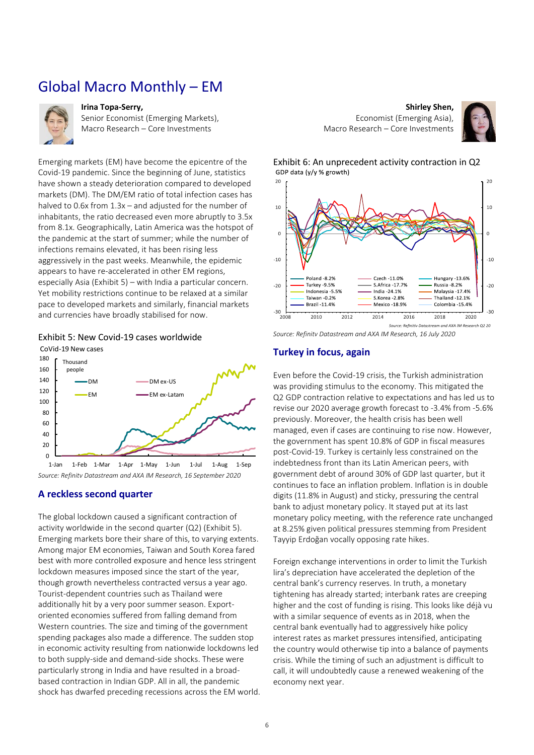### Global Macro Monthly – EM

<span id="page-5-0"></span>

#### **Irina Topa-Serry,**

Senior Economist (Emerging Markets), Macro Research – Core Investments

Emerging markets (EM) have become the epicentre of the Covid-19 pandemic. Since the beginning of June, statistics have shown a steady deterioration compared to developed markets (DM). The DM/EM ratio of total infection cases has halved to 0.6x from 1.3x – and adjusted for the number of inhabitants, the ratio decreased even more abruptly to 3.5x from 8.1x. Geographically, Latin America was the hotspot of the pandemic at the start of summer; while the number of infections remains elevated, it has been rising less aggressively in the past weeks. Meanwhile, the epidemic appears to have re-accelerated in other EM regions, especially Asia [\(Exhibit 5\)](#page-5-1) – with India a particular concern. Yet mobility restrictions continue to be relaxed at a similar pace to developed markets and similarly, financial markets and currencies have broadly stabilised for now.

<span id="page-5-1"></span>

CoVid-19 New cases



*Source: Refinitv Datastream and AXA IM Research, 16 September 2020*

#### **A reckless second quarter**

The global lockdown caused a significant contraction of activity worldwide in the second quarter (Q2) [\(Exhibit 5\)](#page-5-1). Emerging markets bore their share of this, to varying extents. Among major EM economies, Taiwan and South Korea fared best with more controlled exposure and hence less stringent lockdown measures imposed since the start of the year, though growth nevertheless contracted versus a year ago. Tourist-dependent countries such as Thailand were additionally hit by a very poor summer season. Exportoriented economies suffered from falling demand from Western countries. The size and timing of the government spending packages also made a difference. The sudden stop in economic activity resulting from nationwide lockdowns led to both supply-side and demand-side shocks. These were particularly strong in India and have resulted in a broadbased contraction in Indian GDP. All in all, the pandemic shock has dwarfed preceding recessions across the EM world.

**Shirley Shen,**  Economist (Emerging Asia), Macro Research – Core Investments







*Source: Refinitv Datastream and AXA IM Research, 16 July 2020*

#### **Turkey in focus, again**

Even before the Covid-19 crisis, the Turkish administration was providing stimulus to the economy. This mitigated the Q2 GDP contraction relative to expectations and has led us to revise our 2020 average growth forecast to -3.4% from -5.6% previously. Moreover, the health crisis has been well managed, even if cases are continuing to rise now. However, the government has spent 10.8% of GDP in fiscal measures post-Covid-19. Turkey is certainly less constrained on the indebtedness front than its Latin American peers, with government debt of around 30% of GDP last quarter, but it continues to face an inflation problem. Inflation is in double digits (11.8% in August) and sticky, pressuring the central bank to adjust monetary policy. It stayed put at its last monetary policy meeting, with the reference rate unchanged at 8.25% given political pressures stemming from President Tayyip Erdoğan vocally opposing rate hikes.

Foreign exchange interventions in order to limit the Turkish lira's depreciation have accelerated the depletion of the central bank's currency reserves. In truth, a monetary tightening has already started; interbank rates are creeping higher and the cost of funding is rising. This looks like déjà vu with a similar sequence of events as in 2018, when the central bank eventually had to aggressively hike policy interest rates as market pressures intensified, anticipating the country would otherwise tip into a balance of payments crisis. While the timing of such an adjustment is difficult to call, it will undoubtedly cause a renewed weakening of the economy next year.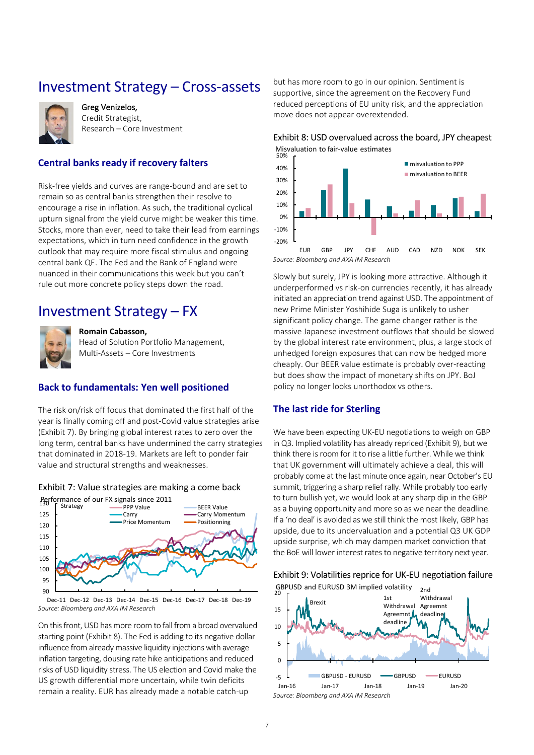### <span id="page-6-0"></span>Investment Strategy – Cross-assets



Greg Venizelos, Credit Strategist, Research – Core Investment

#### **Central banks ready if recovery falters**

Risk-free yields and curves are range-bound and are set to remain so as central banks strengthen their resolve to encourage a rise in inflation. As such, the traditional cyclical upturn signal from the yield curve might be weaker this time. Stocks, more than ever, need to take their lead from earnings expectations, which in turn need confidence in the growth outlook that may require more fiscal stimulus and ongoing central bank QE. The Fed and the Bank of England were nuanced in their communications this week but you can't rule out more concrete policy steps down the road.

### <span id="page-6-1"></span>Investment Strategy – FX



#### **Romain Cabasson,**

Head of Solution Portfolio Management, Multi-Assets – Core Investments

#### **Back to fundamentals: Yen well positioned**

The risk on/risk off focus that dominated the first half of the year is finally coming off and post-Covid value strategies arise [\(Exhibit 7\)](#page-6-2). By bringing global interest rates to zero over the long term, central banks have undermined the carry strategies that dominated in 2018-19. Markets are left to ponder fair value and structural strengths and weaknesses.

### <span id="page-6-2"></span>Exhibit 7: Value strategies are making a come back



*Source: Bloomberg and AXA IM Research* Dec-11 Dec-12 Dec-13 Dec-14 Dec-15 Dec-16 Dec-17 Dec-18 Dec-19

On this front, USD has more room to fall from a broad overvalued starting point [\(Exhibit 8\)](#page-6-3). The Fed is adding to its negative dollar influence from already massive liquidity injections with average inflation targeting, dousing rate hike anticipations and reduced risks of USD liquidity stress. The US election and Covid make the US growth differential more uncertain, while twin deficits remain a reality. EUR has already made a notable catch-up

but has more room to go in our opinion. Sentiment is supportive, since the agreement on the Recovery Fund reduced perceptions of EU unity risk, and the appreciation move does not appear overextended.

#### <span id="page-6-3"></span>Exhibit 8: USD overvalued across the board, JPY cheapest

Misvaluation to fair-value estimates<br> $50\%$ 



*Source: Bloomberg and AXA IM Research*

Slowly but surely, JPY is looking more attractive. Although it underperformed vs risk-on currencies recently, it has already initiated an appreciation trend against USD. The appointment of new Prime Minister Yoshihide Suga is unlikely to usher significant policy change. The game changer rather is the massive Japanese investment outflows that should be slowed by the global interest rate environment, plus, a large stock of unhedged foreign exposures that can now be hedged more cheaply. Our BEER value estimate is probably over-reacting but does show the impact of monetary shifts on JPY. BoJ policy no longer looks unorthodox vs others.

#### **The last ride for Sterling**

We have been expecting UK-EU negotiations to weigh on GBP in Q3. Implied volatility has already repriced [\(Exhibit 9\)](#page-6-4), but we think there is room for it to rise a little further. While we think that UK government will ultimately achieve a deal, this will probably come at the last minute once again, near October's EU summit, triggering a sharp relief rally. While probably too early to turn bullish yet, we would look at any sharp dip in the GBP as a buying opportunity and more so as we near the deadline. If a 'no deal' is avoided as we still think the most likely, GBP has upside, due to its undervaluation and a potential Q3 UK GDP upside surprise, which may dampen market conviction that the BoE will lower interest rates to negative territory next year.



<span id="page-6-4"></span>Exhibit 9: Volatilities reprice for UK-EU negotiation failure

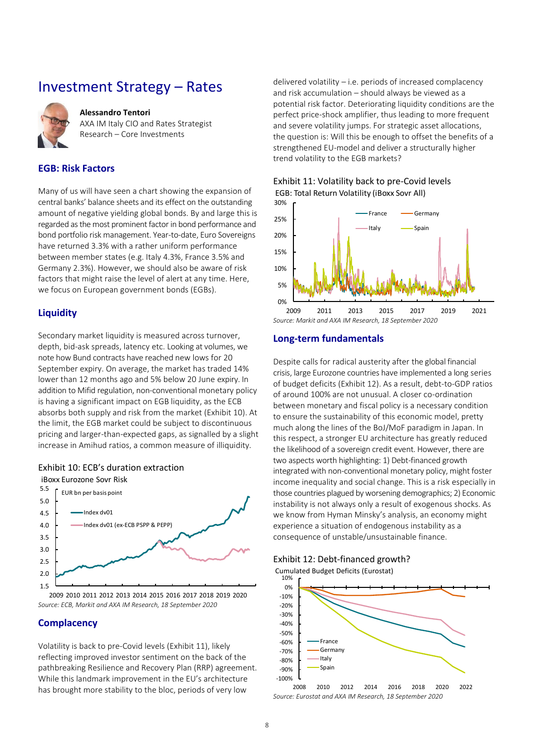### Investment Strategy – Rates

<span id="page-7-0"></span>

#### **Alessandro Tentori**

AXA IM Italy CIO and Rates Strategist Research – Core Investments

#### **EGB: Risk Factors**

Many of us will have seen a chart showing the expansion of central banks' balance sheets and its effect on the outstanding amount of negative yielding global bonds. By and large this is regarded as the most prominent factor in bond performance and bond portfolio risk management. Year-to-date, Euro Sovereigns have returned 3.3% with a rather uniform performance between member states (e.g. Italy 4.3%, France 3.5% and Germany 2.3%). However, we should also be aware of risk factors that might raise the level of alert at any time. Here, we focus on European government bonds (EGBs).

#### **Liquidity**

Secondary market liquidity is measured across turnover, depth, bid-ask spreads, latency etc. Looking at volumes, we note how Bund contracts have reached new lows for 20 September expiry. On average, the market has traded 14% lower than 12 months ago and 5% below 20 June expiry. In addition to Mifid regulation, non-conventional monetary policy is having a significant impact on EGB liquidity, as the ECB absorbs both supply and risk from the market [\(Exhibit 10\)](#page-7-1). At the limit, the EGB market could be subject to discontinuous pricing and larger-than-expected gaps, as signalled by a slight increase in Amihud ratios, a common measure of illiquidity.

#### <span id="page-7-1"></span>Exhibit 10: ECB's duration extraction



*Source: ECB, Markit and AXA IM Research, 18 September 2020*

#### **Complacency**

Volatility is back to pre-Covid levels [\(Exhibit 11\)](#page-7-2), likely reflecting improved investor sentiment on the back of the pathbreaking Resilience and Recovery Plan (RRP) agreement. While this landmark improvement in the EU's architecture has brought more stability to the bloc, periods of very low

delivered volatility – i.e. periods of increased complacency and risk accumulation – should always be viewed as a potential risk factor. Deteriorating liquidity conditions are the perfect price-shock amplifier, thus leading to more frequent and severe volatility jumps. For strategic asset allocations, the question is: Will this be enough to offset the benefits of a strengthened EU-model and deliver a structurally higher trend volatility to the EGB markets?

#### <span id="page-7-2"></span>Exhibit 11: Volatility back to pre-Covid levels EGB: Total Return Volatility (iBoxx Sovr All)



#### **Long-term fundamentals**

Despite calls for radical austerity after the global financial crisis, large Eurozone countries have implemented a long series of budget deficits [\(Exhibit 12\)](#page-7-3). As a result, debt-to-GDP ratios of around 100% are not unusual. A closer co-ordination between monetary and fiscal policy is a necessary condition to ensure the sustainability of this economic model, pretty much along the lines of the BoJ/MoF paradigm in Japan. In this respect, a stronger EU architecture has greatly reduced the likelihood of a sovereign credit event. However, there are two aspects worth highlighting: 1) Debt-financed growth integrated with non-conventional monetary policy, might foster income inequality and social change. This is a risk especially in those countries plagued by worsening demographics; 2) Economic instability is not always only a result of exogenous shocks. As we know from Hyman Minsky's analysis, an economy might experience a situation of endogenous instability as a consequence of unstable/unsustainable finance.

#### <span id="page-7-3"></span>Exhibit 12: Debt-financed growth?





*Source: Eurostat and AXA IM Research, 18 September 2020*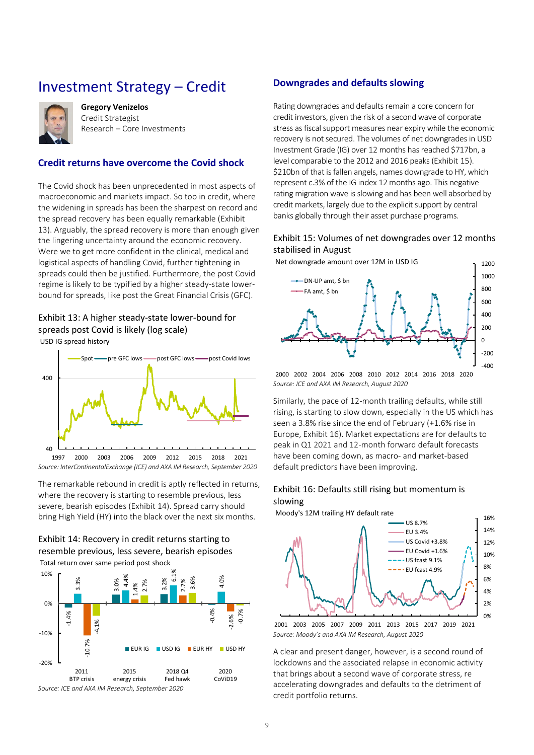### <span id="page-8-0"></span>Investment Strategy – Credit



**Gregory Venizelos** Credit Strategist Research – Core Investments

#### **Credit returns have overcome the Covid shock**

The Covid shock has been unprecedented in most aspects of macroeconomic and markets impact. So too in credit, where the widening in spreads has been the sharpest on record and the spread recovery has been equally remarkable [\(Exhibit](#page-8-1)  [13\)](#page-8-1). Arguably, the spread recovery is more than enough given the lingering uncertainty around the economic recovery. Were we to get more confident in the clinical, medical and logistical aspects of handling Covid, further tightening in spreads could then be justified. Furthermore, the post Covid regime is likely to be typified by a higher steady-state lowerbound for spreads, like post the Great Financial Crisis (GFC).

#### <span id="page-8-1"></span>Exhibit 13: A higher steady-state lower-bound for spreads post Covid is likely (log scale) USD IG spread history



The remarkable rebound in credit is aptly reflected in returns, where the recovery is starting to resemble previous, less severe, bearish episodes [\(Exhibit 14\)](#page-8-2). Spread carry should bring High Yield (HY) into the black over the next six months.

<span id="page-8-2"></span>



#### **Downgrades and defaults slowing**

Rating downgrades and defaults remain a core concern for credit investors, given the risk of a second wave of corporate stress as fiscal support measures near expiry while the economic recovery is not secured. The volumes of net downgrades in USD Investment Grade (IG) over 12 months has reached \$717bn, a level comparable to the 2012 and 2016 peaks [\(Exhibit 15\)](#page-8-3). \$210bn of that is fallen angels, names downgrade to HY, which represent c.3% of the IG index 12 months ago. This negative rating migration wave is slowing and has been well absorbed by credit markets, largely due to the explicit support by central banks globally through their asset purchase programs.

#### <span id="page-8-3"></span>Exhibit 15: Volumes of net downgrades over 12 months stabilised in August



*Source: ICE and AXA IM Research, August 2020* 2000 2002 2004 2006 2008 2010 2012 2014 2016 2018 2020

Similarly, the pace of 12-month trailing defaults, while still rising, is starting to slow down, especially in the US which has seen a 3.8% rise since the end of February (+1.6% rise in Europe[, Exhibit 16\)](#page-8-4). Market expectations are for defaults to peak in Q1 2021 and 12-month forward default forecasts have been coming down, as macro- and market-based default predictors have been improving.

#### <span id="page-8-4"></span>Exhibit 16: Defaults still rising but momentum is slowing

Moody's 12M trailing HY default rate



*Source: Moody's and AXA IM Research, August 2020* 2001 2003 2005 2007 2009 2011 2013 2015 2017 2019 2021

A clear and present danger, however, is a second round of lockdowns and the associated relapse in economic activity that brings about a second wave of corporate stress, re accelerating downgrades and defaults to the detriment of credit portfolio returns.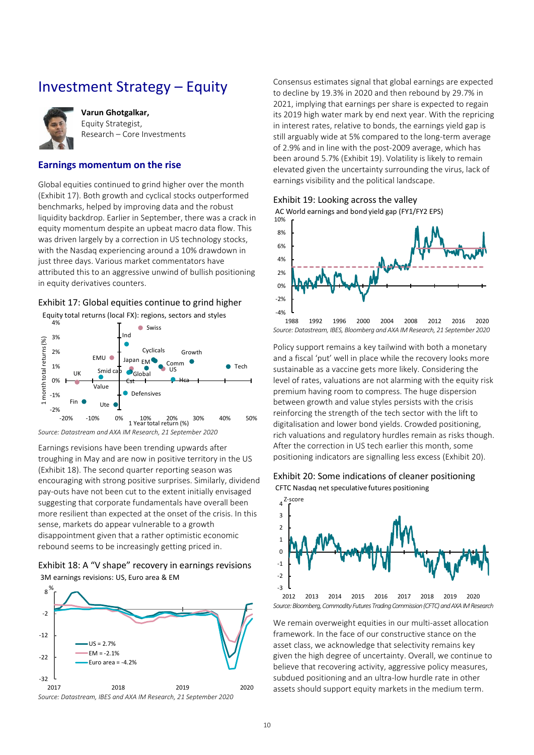### <span id="page-9-0"></span>Investment Strategy – Equity



**Varun Ghotgalkar,**  Equity Strategist, Research – Core Investments

#### **Earnings momentum on the rise**

Global equities continued to grind higher over the month [\(Exhibit 17\)](#page-9-1). Both growth and cyclical stocks outperformed benchmarks, helped by improving data and the robust liquidity backdrop. Earlier in September, there was a crack in equity momentum despite an upbeat macro data flow. This was driven largely by a correction in US technology stocks, with the Nasdaq experiencing around a 10% drawdown in just three days. Various market commentators have attributed this to an aggressive unwind of bullish positioning in equity derivatives counters.

#### <span id="page-9-1"></span>Exhibit 17: Global equities continue to grind higher

Equity total returns (local FX): regions, sectors and styles



*Source: Datastream and AXA IM Research, 21 September 2020*

Earnings revisions have been trending upwards after troughing in May and are now in positive territory in the US [\(Exhibit 18\)](#page-9-2). The second quarter reporting season was encouraging with strong positive surprises. Similarly, dividend pay-outs have not been cut to the extent initially envisaged suggesting that corporate fundamentals have overall been more resilient than expected at the onset of the crisis. In this sense, markets do appear vulnerable to a growth disappointment given that a rather optimistic economic rebound seems to be increasingly getting priced in.

#### <span id="page-9-2"></span>Exhibit 18: A "V shape" recovery in earnings revisions 3M earnings revisions: US, Euro area & EM





Consensus estimates signal that global earnings are expected to decline by 19.3% in 2020 and then rebound by 29.7% in 2021, implying that earnings per share is expected to regain its 2019 high water mark by end next year. With the repricing in interest rates, relative to bonds, the earnings yield gap is still arguably wide at 5% compared to the long-term average of 2.9% and in line with the post-2009 average, which has been around 5.7% [\(Exhibit 19\)](#page-9-3). Volatility is likely to remain elevated given the uncertainty surrounding the virus, lack of earnings visibility and the political landscape.

<span id="page-9-3"></span>Exhibit 19: Looking across the valley

AC World earnings and bond yield gap (FY1/FY2 EPS)



Policy support remains a key tailwind with both a monetary and a fiscal 'put' well in place while the recovery looks more sustainable as a vaccine gets more likely. Considering the level of rates, valuations are not alarming with the equity risk premium having room to compress. The huge dispersion between growth and value styles persists with the crisis reinforcing the strength of the tech sector with the lift to digitalisation and lower bond yields. Crowded positioning, rich valuations and regulatory hurdles remain as risks though. After the correction in US tech earlier this month, some positioning indicators are signalling less excess [\(Exhibit 20\)](#page-9-4).

#### <span id="page-9-4"></span>Exhibit 20: Some indications of cleaner positioning

CFTC Nasdaq net speculative futures positioning



*Source: Bloomberg, Commodity Futures Trading Commission (CFTC) and AXA IM Research*

We remain overweight equities in our multi-asset allocation framework. In the face of our constructive stance on the asset class, we acknowledge that selectivity remains key given the high degree of uncertainty. Overall, we continue to believe that recovering activity, aggressive policy measures, subdued positioning and an ultra-low hurdle rate in other assets should support equity markets in the medium term.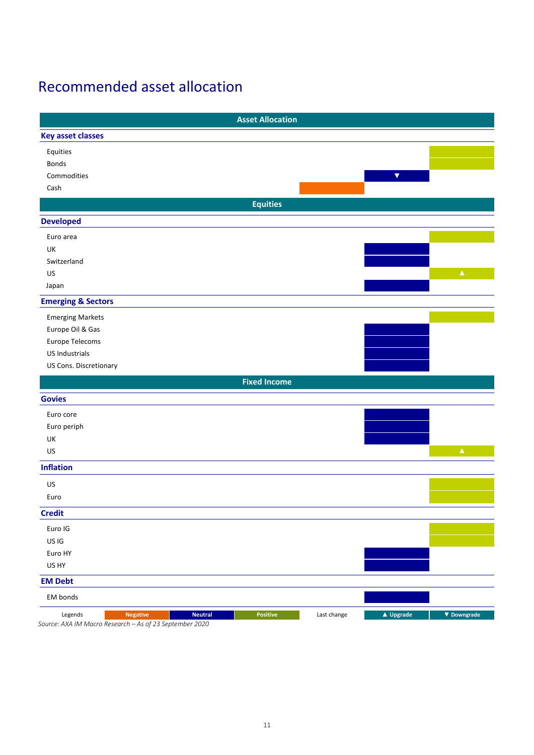# <span id="page-10-0"></span>Recommended asset allocation

|                                                         |                 |                | <b>Asset Allocation</b> |             |                      |                    |
|---------------------------------------------------------|-----------------|----------------|-------------------------|-------------|----------------------|--------------------|
| <b>Key asset classes</b>                                |                 |                |                         |             |                      |                    |
| Equities                                                |                 |                |                         |             |                      |                    |
| Bonds                                                   |                 |                |                         |             |                      |                    |
| Commodities                                             |                 |                |                         |             | $\blacktriangledown$ |                    |
| Cash                                                    |                 |                |                         |             |                      |                    |
|                                                         |                 |                | <b>Equities</b>         |             |                      |                    |
| <b>Developed</b>                                        |                 |                |                         |             |                      |                    |
| Euro area                                               |                 |                |                         |             |                      |                    |
| UK                                                      |                 |                |                         |             |                      |                    |
| Switzerland                                             |                 |                |                         |             |                      |                    |
| US                                                      |                 |                |                         |             |                      | $\blacktriangle$   |
| Japan                                                   |                 |                |                         |             |                      |                    |
| <b>Emerging &amp; Sectors</b>                           |                 |                |                         |             |                      |                    |
| <b>Emerging Markets</b>                                 |                 |                |                         |             |                      |                    |
| Europe Oil & Gas                                        |                 |                |                         |             |                      |                    |
| Europe Telecoms                                         |                 |                |                         |             |                      |                    |
| US Industrials                                          |                 |                |                         |             |                      |                    |
| US Cons. Discretionary                                  |                 |                |                         |             |                      |                    |
|                                                         |                 |                | <b>Fixed Income</b>     |             |                      |                    |
| <b>Govies</b>                                           |                 |                |                         |             |                      |                    |
| Euro core                                               |                 |                |                         |             |                      |                    |
| Euro periph                                             |                 |                |                         |             |                      |                    |
| UK                                                      |                 |                |                         |             |                      |                    |
| US                                                      |                 |                |                         |             |                      | $\blacktriangle$   |
| <b>Inflation</b>                                        |                 |                |                         |             |                      |                    |
| US                                                      |                 |                |                         |             |                      |                    |
| Euro                                                    |                 |                |                         |             |                      |                    |
| <b>Credit</b>                                           |                 |                |                         |             |                      |                    |
| Euro IG                                                 |                 |                |                         |             |                      |                    |
| US IG                                                   |                 |                |                         |             |                      |                    |
| Euro HY                                                 |                 |                |                         |             |                      |                    |
| US HY                                                   |                 |                |                         |             |                      |                    |
| <b>EM Debt</b>                                          |                 |                |                         |             |                      |                    |
| EM bonds                                                |                 |                |                         |             |                      |                    |
| Legends                                                 | <b>Negative</b> | <b>Neutral</b> | Positive                | Last change | ▲ Upgrade            | $\nabla$ Downgrade |
| Source: AXA IM Macro Research - As of 23 September 2020 |                 |                |                         |             |                      |                    |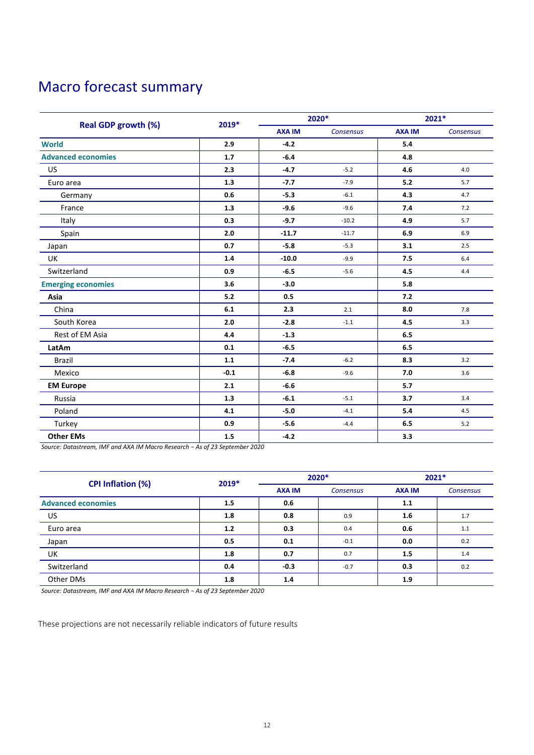# <span id="page-11-0"></span>Macro forecast summary

|                            |         | 2020*         |           | 2021*         |                  |
|----------------------------|---------|---------------|-----------|---------------|------------------|
| <b>Real GDP growth (%)</b> | 2019*   | <b>AXA IM</b> | Consensus | <b>AXA IM</b> | <b>Consensus</b> |
| <b>World</b>               | 2.9     | $-4.2$        |           | 5.4           |                  |
| <b>Advanced economies</b>  | 1.7     | $-6.4$        |           | 4.8           |                  |
| US                         | 2.3     | $-4.7$        | $-5.2$    | 4.6           | 4.0              |
| Euro area                  | 1.3     | $-7.7$        | $-7.9$    | 5.2           | 5.7              |
| Germany                    | 0.6     | $-5.3$        | $-6.1$    | 4.3           | 4.7              |
| France                     | 1.3     | $-9.6$        | $-9.6$    | 7.4           | 7.2              |
| Italy                      | 0.3     | $-9.7$        | $-10.2$   | 4.9           | 5.7              |
| Spain                      | 2.0     | $-11.7$       | $-11.7$   | 6.9           | 6.9              |
| Japan                      | 0.7     | $-5.8$        | $-5.3$    | 3.1           | 2.5              |
| <b>UK</b>                  | 1.4     | $-10.0$       | $-9.9$    | 7.5           | 6.4              |
| Switzerland                | 0.9     | $-6.5$        | $-5.6$    | 4.5           | 4.4              |
| <b>Emerging economies</b>  | 3.6     | $-3.0$        |           | 5.8           |                  |
| Asia                       | 5.2     | 0.5           |           | 7.2           |                  |
| China                      | 6.1     | 2.3           | 2.1       | 8.0           | 7.8              |
| South Korea                | 2.0     | $-2.8$        | $-1.1$    | 4.5           | 3.3              |
| Rest of EM Asia            | 4.4     | $-1.3$        |           | 6.5           |                  |
| LatAm                      | 0.1     | $-6.5$        |           | 6.5           |                  |
| <b>Brazil</b>              | $1.1\,$ | $-7.4$        | $-6.2$    | 8.3           | 3.2              |
| Mexico                     | $-0.1$  | $-6.8$        | $-9.6$    | 7.0           | 3.6              |
| <b>EM Europe</b>           | 2.1     | $-6.6$        |           | 5.7           |                  |
| Russia                     | 1.3     | $-6.1$        | $-5.1$    | 3.7           | 3.4              |
| Poland                     | 4.1     | $-5.0$        | $-4.1$    | 5.4           | 4.5              |
| Turkey                     | 0.9     | $-5.6$        | $-4.4$    | 6.5           | $5.2$            |
| <b>Other EMs</b>           | 1.5     | $-4.2$        |           | 3.3           |                  |

*Source: Datastream, IMF and AXA IM Macro Research − As of 23 September 2020*

| CPI Inflation (%)         | 2019* | 2020*         |                  | $2021*$       |                  |
|---------------------------|-------|---------------|------------------|---------------|------------------|
|                           |       | <b>AXA IM</b> | <b>Consensus</b> | <b>AXA IM</b> | <b>Consensus</b> |
| <b>Advanced economies</b> | 1.5   | 0.6           |                  | 1.1           |                  |
| <b>US</b>                 | 1.8   | 0.8           | 0.9              | 1.6           | 1.7              |
| Euro area                 | 1.2   | 0.3           | 0.4              | 0.6           | 1.1              |
| Japan                     | 0.5   | 0.1           | $-0.1$           | 0.0           | 0.2              |
| UK                        | 1.8   | 0.7           | 0.7              | 1.5           | 1.4              |
| Switzerland               | 0.4   | $-0.3$        | $-0.7$           | 0.3           | 0.2              |
| Other DMs                 | 1.8   | 1.4           |                  | 1.9           |                  |

*Source: Datastream, IMF and AXA IM Macro Research − As of 23 September 2020*

These projections are not necessarily reliable indicators of future results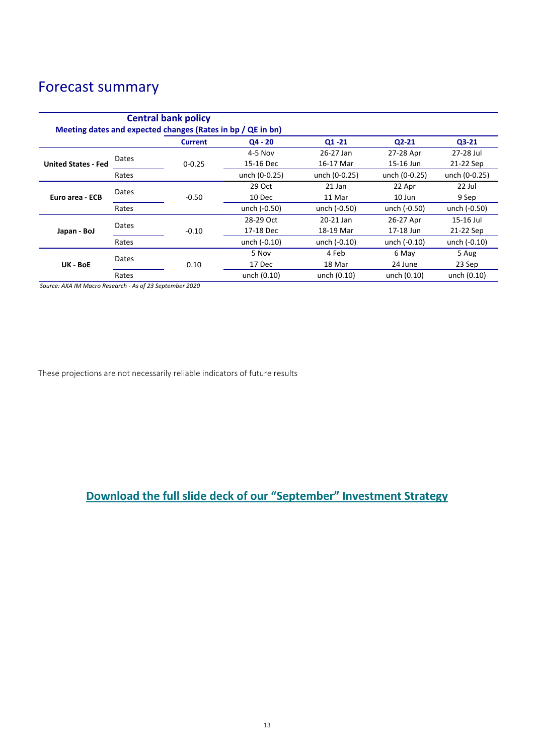## Forecast summary

| <b>Central bank policy</b><br>Meeting dates and expected changes (Rates in bp / QE in bn) |       |                |                |               |               |               |
|-------------------------------------------------------------------------------------------|-------|----------------|----------------|---------------|---------------|---------------|
|                                                                                           |       | <b>Current</b> | $04 - 20$      | $Q1 - 21$     | $Q2 - 21$     | $Q3-21$       |
| <b>United States - Fed</b>                                                                | Dates |                | $4-5$ Nov      | 26-27 Jan     | 27-28 Apr     | 27-28 Jul     |
|                                                                                           |       | $0 - 0.25$     | 15-16 Dec      | 16-17 Mar     | 15-16 Jun     | 21-22 Sep     |
|                                                                                           | Rates |                | unch (0-0.25)  | unch (0-0.25) | unch (0-0.25) | unch (0-0.25) |
| Euro area - ECB                                                                           | Dates |                | 29 Oct         | 21 Jan        | 22 Apr        | 22 Jul        |
|                                                                                           |       | $-0.50$        | 10 Dec         | 11 Mar        | 10 Jun        | 9 Sep         |
|                                                                                           | Rates |                | unch (-0.50)   | unch (-0.50)  | unch (-0.50)  | unch (-0.50)  |
| Japan - BoJ                                                                               | Dates |                | 28-29 Oct      | 20-21 Jan     | 26-27 Apr     | 15-16 Jul     |
|                                                                                           |       | $-0.10$        | 17-18 Dec      | 18-19 Mar     | 17-18 Jun     | 21-22 Sep     |
|                                                                                           | Rates |                | unch $(-0.10)$ | unch (-0.10)  | unch (-0.10)  | unch (-0.10)  |
| UK - BoE                                                                                  | Dates |                | 5 Nov          | 4 Feb         | 6 May         | 5 Aug         |
|                                                                                           |       | 0.10           | 17 Dec         | 18 Mar        | 24 June       | 23 Sep        |
|                                                                                           | Rates |                | unch (0.10)    | unch (0.10)   | unch (0.10)   | unch (0.10)   |

*Source: AXA IM Macro Research - As of 23 September 2020*

These projections are not necessarily reliable indicators of future results

### **[Download the full slide deck of our "](https://www.axa-im.com/documents/20195/694460/Monthly+Investment+Strategy+Presentation+20200923+en.pdf/80ab0177-d1fe-193f-f2ee-f5d439c16419?t=1600874765197)September" Investment Strategy**